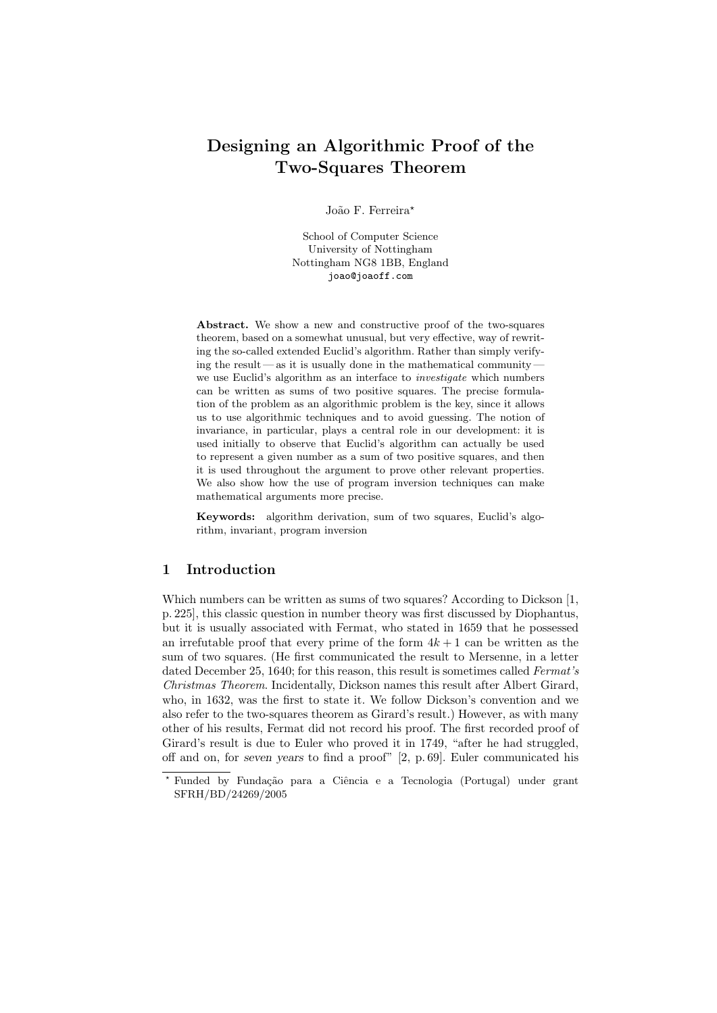# Designing an Algorithmic Proof of the Two-Squares Theorem

João F. Ferreira\*

School of Computer Science University of Nottingham Nottingham NG8 1BB, England joao@joaoff.com

Abstract. We show a new and constructive proof of the two-squares theorem, based on a somewhat unusual, but very effective, way of rewriting the so-called extended Euclid's algorithm. Rather than simply verifying the result—as it is usually done in the mathematical community  $$ we use Euclid's algorithm as an interface to investigate which numbers can be written as sums of two positive squares. The precise formulation of the problem as an algorithmic problem is the key, since it allows us to use algorithmic techniques and to avoid guessing. The notion of invariance, in particular, plays a central role in our development: it is used initially to observe that Euclid's algorithm can actually be used to represent a given number as a sum of two positive squares, and then it is used throughout the argument to prove other relevant properties. We also show how the use of program inversion techniques can make mathematical arguments more precise.

Keywords: algorithm derivation, sum of two squares, Euclid's algorithm, invariant, program inversion

## 1 Introduction

Which numbers can be written as sums of two squares? According to Dickson [1, p. 225], this classic question in number theory was first discussed by Diophantus, but it is usually associated with Fermat, who stated in 1659 that he possessed an irrefutable proof that every prime of the form  $4k + 1$  can be written as the sum of two squares. (He first communicated the result to Mersenne, in a letter dated December 25, 1640; for this reason, this result is sometimes called Fermat's Christmas Theorem. Incidentally, Dickson names this result after Albert Girard, who, in 1632, was the first to state it. We follow Dickson's convention and we also refer to the two-squares theorem as Girard's result.) However, as with many other of his results, Fermat did not record his proof. The first recorded proof of Girard's result is due to Euler who proved it in 1749, "after he had struggled, off and on, for seven years to find a proof" [2, p. 69]. Euler communicated his

<sup>\*</sup> Funded by Fundação para a Ciência e a Tecnologia (Portugal) under grant SFRH/BD/24269/2005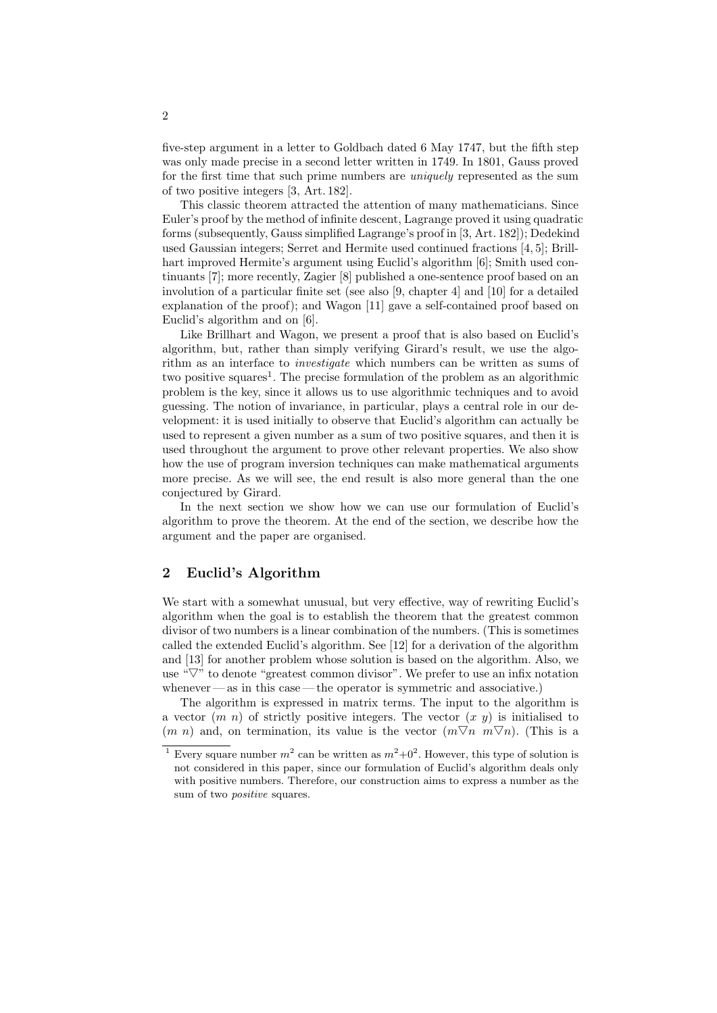five-step argument in a letter to Goldbach dated 6 May 1747, but the fifth step was only made precise in a second letter written in 1749. In 1801, Gauss proved for the first time that such prime numbers are uniquely represented as the sum of two positive integers [3, Art. 182].

This classic theorem attracted the attention of many mathematicians. Since Euler's proof by the method of infinite descent, Lagrange proved it using quadratic forms (subsequently, Gauss simplified Lagrange's proof in [3, Art. 182]); Dedekind used Gaussian integers; Serret and Hermite used continued fractions [4, 5]; Brillhart improved Hermite's argument using Euclid's algorithm [6]; Smith used continuants [7]; more recently, Zagier [8] published a one-sentence proof based on an involution of a particular finite set (see also [9, chapter 4] and [10] for a detailed explanation of the proof); and Wagon [11] gave a self-contained proof based on Euclid's algorithm and on [6].

Like Brillhart and Wagon, we present a proof that is also based on Euclid's algorithm, but, rather than simply verifying Girard's result, we use the algorithm as an interface to investigate which numbers can be written as sums of two positive squares<sup>1</sup>. The precise formulation of the problem as an algorithmic problem is the key, since it allows us to use algorithmic techniques and to avoid guessing. The notion of invariance, in particular, plays a central role in our development: it is used initially to observe that Euclid's algorithm can actually be used to represent a given number as a sum of two positive squares, and then it is used throughout the argument to prove other relevant properties. We also show how the use of program inversion techniques can make mathematical arguments more precise. As we will see, the end result is also more general than the one conjectured by Girard.

In the next section we show how we can use our formulation of Euclid's algorithm to prove the theorem. At the end of the section, we describe how the argument and the paper are organised.

## 2 Euclid's Algorithm

We start with a somewhat unusual, but very effective, way of rewriting Euclid's algorithm when the goal is to establish the theorem that the greatest common divisor of two numbers is a linear combination of the numbers. (This is sometimes called the extended Euclid's algorithm. See [12] for a derivation of the algorithm and [13] for another problem whose solution is based on the algorithm. Also, we use " $\nabla$ " to denote "greatest common divisor". We prefer to use an infix notation whenever — as in this case — the operator is symmetric and associative.)

The algorithm is expressed in matrix terms. The input to the algorithm is a vector  $(m n)$  of strictly positive integers. The vector  $(x y)$  is initialised to  $(m n)$  and, on termination, its value is the vector  $(m \nabla n \nabla n)$ . (This is a

<sup>&</sup>lt;sup>1</sup> Every square number  $m^2$  can be written as  $m^2+0^2$ . However, this type of solution is not considered in this paper, since our formulation of Euclid's algorithm deals only with positive numbers. Therefore, our construction aims to express a number as the sum of two *positive* squares.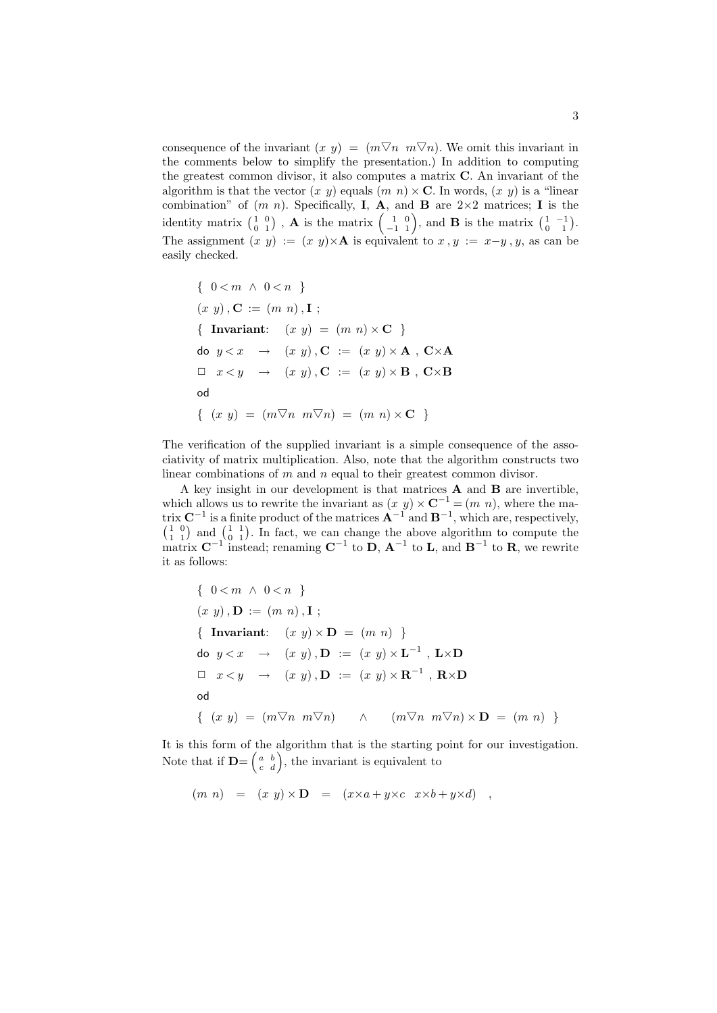consequence of the invariant  $(x, y) = (m \nabla n \ m \nabla n)$ . We omit this invariant in the comments below to simplify the presentation.) In addition to computing the greatest common divisor, it also computes a matrix C. An invariant of the algorithm is that the vector  $(x, y)$  equals  $(m, n) \times \mathbf{C}$ . In words,  $(x, y)$  is a "linear combination" of  $(m n)$ . Specifically, **I**, **A**, and **B** are  $2 \times 2$  matrices; **I** is the identity matrix  $\begin{pmatrix} 1 & 0 \\ 0 & 1 \end{pmatrix}$ , **A** is the matrix  $\begin{pmatrix} 1 & 0 \\ -1 & 1 \end{pmatrix}$ , and **B** is the matrix  $\begin{pmatrix} 1 & -1 \\ 0 & 1 \end{pmatrix}$ . The assignment  $(x, y) := (x, y) \times A$  is equivalent to  $x, y := x-y, y$ , as can be easily checked.

{ 
$$
0 < m \land 0 < n
$$
 }  
\n $(x \ y), \mathbf{C} := (m \ n), \mathbf{I}$ ;  
\n{ **Invariant:**  $(x \ y) = (m \ n) \times \mathbf{C}$  }  
\n $\mathbf{d} \mathbf{o} \ y < x \rightarrow (x \ y), \mathbf{C} := (x \ y) \times \mathbf{A}, \mathbf{C} \times \mathbf{A}$   
\n $\Box \ x < y \rightarrow (x \ y), \mathbf{C} := (x \ y) \times \mathbf{B}, \mathbf{C} \times \mathbf{B}$   
\n $\mathbf{d} \ \{ (x \ y) = (m \nabla n \ m \nabla n) = (m \ n) \times \mathbf{C} \ \}$ 

The verification of the supplied invariant is a simple consequence of the associativity of matrix multiplication. Also, note that the algorithm constructs two linear combinations of m and n equal to their greatest common divisor.

A key insight in our development is that matrices A and B are invertible, which allows us to rewrite the invariant as  $(x, y) \times \mathbb{C}^{-1} = (m, n)$ , where the matrix  $C^{-1}$  is a finite product of the matrices  $A^{-1}$  and  $B^{-1}$ , which are, respectively,  $\begin{pmatrix} 1 & 0 \\ 1 & 1 \end{pmatrix}$  and  $\begin{pmatrix} 1 & 1 \\ 0 & 1 \end{pmatrix}$ . In fact, we can change the above algorithm to compute the matrix  $\mathbf{C}^{-1}$  instead; renaming  $\mathbf{C}^{-1}$  to  $\mathbf{D}$ ,  $\mathbf{A}^{-1}$  to  $\mathbf{L}$ , and  $\mathbf{B}^{-1}$  to  $\mathbf{R}$ , we rewrite it as follows:

{ 
$$
0 < m \land 0 < n
$$
 }  
\n $(x \ y), \mathbf{D} := (m \ n), \mathbf{I}$ ;  
\n{ Invariant:  $(x \ y) \times \mathbf{D} = (m \ n)$  }  
\n $\mathbf{d} \mathbf{o} \ y < x \rightarrow (x \ y), \mathbf{D} := (x \ y) \times \mathbf{L}^{-1}, \mathbf{L} \times \mathbf{D}$   
\n $\Box \ x < y \rightarrow (x \ y), \mathbf{D} := (x \ y) \times \mathbf{R}^{-1}, \mathbf{R} \times \mathbf{D}$   
\n $\mathbf{d} \ \{ (x \ y) = (m \nabla n \ m \nabla n) \land (m \nabla n \ m \nabla n) \times \mathbf{D} = (m \ n)$  }

It is this form of the algorithm that is the starting point for our investigation. Note that if  $\mathbf{D} = \begin{pmatrix} a & b \\ c & d \end{pmatrix}$ , the invariant is equivalent to

$$
(m n) = (x y) \times D = (x \times a + y \times c \ x \times b + y \times d) ,
$$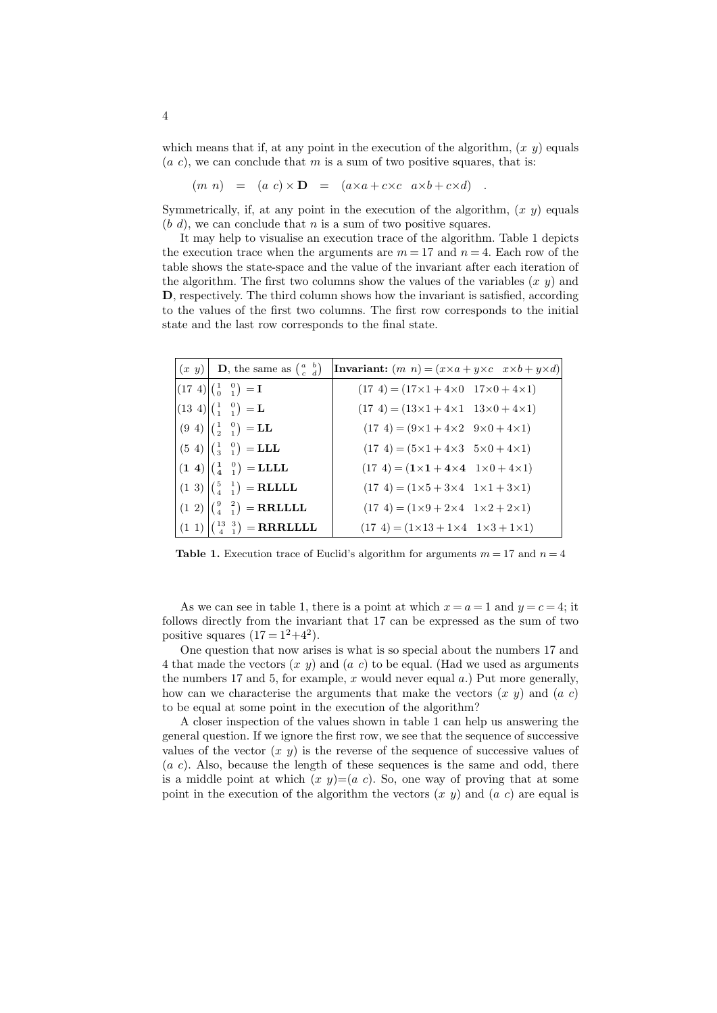which means that if, at any point in the execution of the algorithm,  $(x, y)$  equals  $(a, c)$ , we can conclude that m is a sum of two positive squares, that is:

 $(m n) = (a c) \times D = (a \times a + c \times c \ a \times b + c \times d)$ 

Symmetrically, if, at any point in the execution of the algorithm,  $(x, y)$  equals  $(b, d)$ , we can conclude that n is a sum of two positive squares.

It may help to visualise an execution trace of the algorithm. Table 1 depicts the execution trace when the arguments are  $m = 17$  and  $n = 4$ . Each row of the table shows the state-space and the value of the invariant after each iteration of the algorithm. The first two columns show the values of the variables  $(x, y)$  and D, respectively. The third column shows how the invariant is satisfied, according to the values of the first two columns. The first row corresponds to the initial state and the last row corresponds to the final state.

|  | $(x, y)$ D, the same as $\begin{pmatrix} a & b \\ c & d \end{pmatrix}$                                                                 | <b>Invariant:</b> $(m\ n) = (x \times a + y \times c \ x \times b + y \times d)$ |  |
|--|----------------------------------------------------------------------------------------------------------------------------------------|----------------------------------------------------------------------------------|--|
|  | $ (17 \t4) \begin{pmatrix} 1 & 0 \\ 0 & 1 \end{pmatrix} = I$                                                                           | $(17 4) = (17 \times 1 + 4 \times 0 \quad 17 \times 0 + 4 \times 1)$             |  |
|  | $ (13\;4) \begin{pmatrix} 1 & 0 \\ 1 & 1 \end{pmatrix} = L$                                                                            | $(17 4) = (13 \times 1 + 4 \times 1 \quad 13 \times 0 + 4 \times 1)$             |  |
|  | $ (9\;4)\; _{(\frac{1}{2}-\frac{0}{1})} = LL$                                                                                          | $(17 4) = (9 \times 1 + 4 \times 2 \quad 9 \times 0 + 4 \times 1)$               |  |
|  | $(5 4)$ $\begin{pmatrix} 1 & 0 \\ 3 & 1 \end{pmatrix}$ = LLL                                                                           | $(17 4) = (5 \times 1 + 4 \times 3 + 5 \times 0 + 4 \times 1)$                   |  |
|  | $\left  \begin{pmatrix} 1 & 4 \end{pmatrix} \right  \left  \begin{pmatrix} 1 & 0 \\ 4 & 1 \end{pmatrix} \right $ = LLLL                | $(17 4) = (1 \times 1 + 4 \times 4 \quad 1 \times 0 + 4 \times 1)$               |  |
|  | $(1\ 3)\begin{pmatrix} 5 & 1 \\ 4 & 1 \end{pmatrix}$ = <b>RLLLL</b>                                                                    | $(17 4) = (1 \times 5 + 3 \times 4 \quad 1 \times 1 + 3 \times 1)$               |  |
|  | $(1\ 2)\begin{pmatrix} 9 & 2\\ 4 & 1 \end{pmatrix}$ = RRLLLL                                                                           | $(17 4) = (1 \times 9 + 2 \times 4 \quad 1 \times 2 + 2 \times 1)$               |  |
|  | $\left( \begin{array}{cc} (1 \ 1) \end{array} \right) \left( \begin{array}{cc} 13 & 3 \\ 4 & 1 \end{array} \right) = \textbf{RRRILLL}$ | $(17 4) = (1 \times 13 + 1 \times 4 \quad 1 \times 3 + 1 \times 1)$              |  |

**Table 1.** Execution trace of Euclid's algorithm for arguments  $m = 17$  and  $n = 4$ 

As we can see in table 1, there is a point at which  $x = a = 1$  and  $y = c = 4$ ; it follows directly from the invariant that 17 can be expressed as the sum of two positive squares  $(17 = 1^2+4^2)$ .

One question that now arises is what is so special about the numbers 17 and 4 that made the vectors  $(x, y)$  and  $(a, c)$  to be equal. (Had we used as arguments the numbers 17 and 5, for example, x would never equal  $a$ .) Put more generally, how can we characterise the arguments that make the vectors  $(x, y)$  and  $(a, c)$ to be equal at some point in the execution of the algorithm?

A closer inspection of the values shown in table 1 can help us answering the general question. If we ignore the first row, we see that the sequence of successive values of the vector  $(x, y)$  is the reverse of the sequence of successive values of  $(a, c)$ . Also, because the length of these sequences is the same and odd, there is a middle point at which  $(x, y)=(a, c)$ . So, one way of proving that at some point in the execution of the algorithm the vectors  $(x, y)$  and  $(a, c)$  are equal is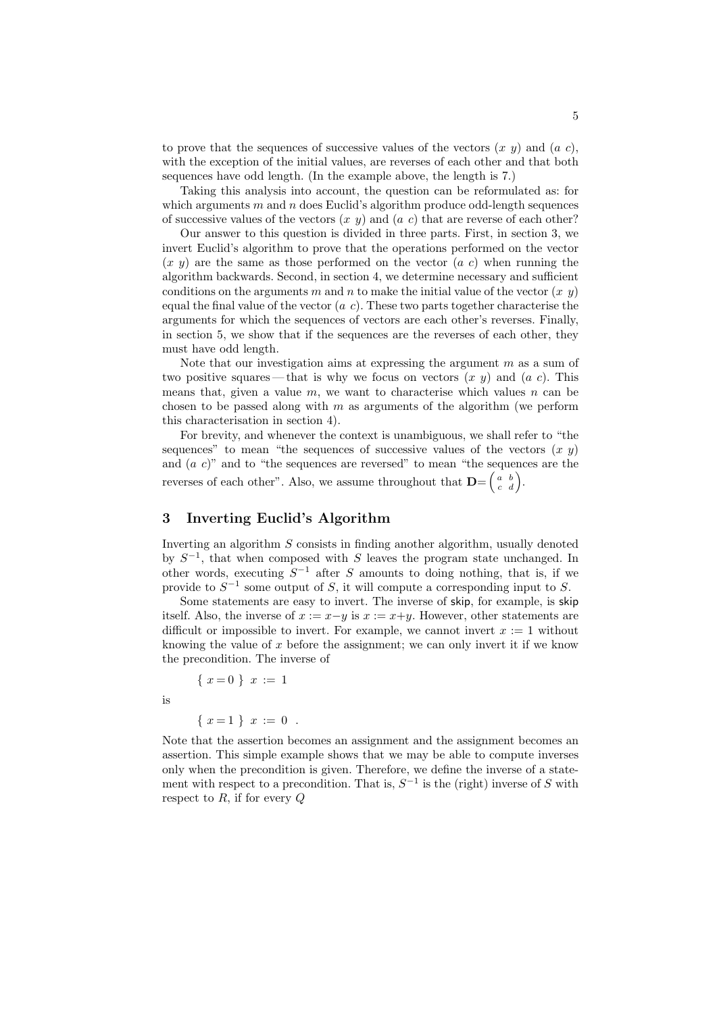to prove that the sequences of successive values of the vectors  $(x, y)$  and  $(a, c)$ , with the exception of the initial values, are reverses of each other and that both sequences have odd length. (In the example above, the length is 7.)

Taking this analysis into account, the question can be reformulated as: for which arguments m and n does Euclid's algorithm produce odd-length sequences of successive values of the vectors  $(x, y)$  and  $(a, c)$  that are reverse of each other?

Our answer to this question is divided in three parts. First, in section 3, we invert Euclid's algorithm to prove that the operations performed on the vector  $(x, y)$  are the same as those performed on the vector  $(a, c)$  when running the algorithm backwards. Second, in section 4, we determine necessary and sufficient conditions on the arguments m and n to make the initial value of the vector  $(x, y)$ equal the final value of the vector  $(a\ c)$ . These two parts together characterise the arguments for which the sequences of vectors are each other's reverses. Finally, in section 5, we show that if the sequences are the reverses of each other, they must have odd length.

Note that our investigation aims at expressing the argument  $m$  as a sum of two positive squares — that is why we focus on vectors  $(x, y)$  and  $(a, c)$ . This means that, given a value  $m$ , we want to characterise which values  $n$  can be chosen to be passed along with  $m$  as arguments of the algorithm (we perform this characterisation in section 4).

For brevity, and whenever the context is unambiguous, we shall refer to "the sequences" to mean "the sequences of successive values of the vectors  $(x, y)$ and  $(a\ c)$ " and to "the sequences are reversed" to mean "the sequences are the reverses of each other". Also, we assume throughout that  $\mathbf{D} = \begin{pmatrix} a & b \\ c & d \end{pmatrix}$ .

# 3 Inverting Euclid's Algorithm

Inverting an algorithm S consists in finding another algorithm, usually denoted by  $S^{-1}$ , that when composed with S leaves the program state unchanged. In other words, executing  $S^{-1}$  after S amounts to doing nothing, that is, if we provide to  $S^{-1}$  some output of S, it will compute a corresponding input to S.

Some statements are easy to invert. The inverse of skip, for example, is skip itself. Also, the inverse of  $x := x-y$  is  $x := x+y$ . However, other statements are difficult or impossible to invert. For example, we cannot invert  $x := 1$  without knowing the value of  $x$  before the assignment; we can only invert it if we know the precondition. The inverse of

$$
\{x=0\} \ x := 1
$$

is

$$
\{ x=1 \} x := 0 .
$$

Note that the assertion becomes an assignment and the assignment becomes an assertion. This simple example shows that we may be able to compute inverses only when the precondition is given. Therefore, we define the inverse of a statement with respect to a precondition. That is,  $S^{-1}$  is the (right) inverse of S with respect to  $R$ , if for every  $Q$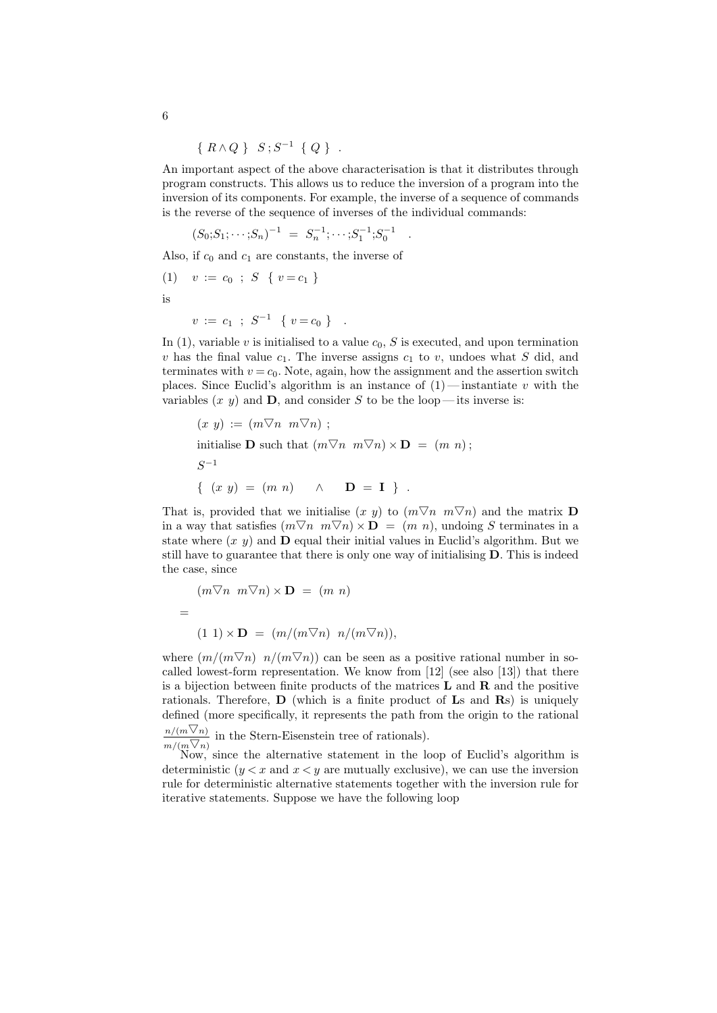$$
\{ R \wedge Q \} S; S^{-1} \{ Q \} .
$$

An important aspect of the above characterisation is that it distributes through program constructs. This allows us to reduce the inversion of a program into the inversion of its components. For example, the inverse of a sequence of commands is the reverse of the sequence of inverses of the individual commands:

.

$$
(S_0; S_1; \cdots; S_n)^{-1} = S_n^{-1}; \cdots; S_1^{-1}; S_0^{-1}
$$

Also, if  $c_0$  and  $c_1$  are constants, the inverse of

$$
(1) \quad v := c_0 \; ; \; S \; \{ \; v = c_1 \; \}
$$

is

$$
v := c_1 ; S^{-1} \{ v = c_0 \} .
$$

In (1), variable v is initialised to a value  $c_0$ , S is executed, and upon termination v has the final value  $c_1$ . The inverse assigns  $c_1$  to v, undoes what S did, and terminates with  $v = c_0$ . Note, again, how the assignment and the assertion switch places. Since Euclid's algorithm is an instance of  $(1)$ —instantiate v with the variables  $(x, y)$  and  $D$ , and consider S to be the loop—its inverse is:

$$
(x \ y) := (m \nabla n \ m \nabla n);
$$
  
initialise **D** such that  $(m \nabla n \ m \nabla n) \times \mathbf{D} = (m \ n);$   

$$
S^{-1}
$$
  

$$
\{ (x \ y) = (m \ n) \ \wedge \mathbf{D} = \mathbf{I} \} .
$$

That is, provided that we initialise  $(x, y)$  to  $(m\nabla n, m\nabla n)$  and the matrix **D** in a way that satisfies  $(m\overline{\vee}n \ \overline{m}\overline{\vee}n) \times \mathbf{D} = (m \ n)$ , undoing S terminates in a state where  $(x, y)$  and **D** equal their initial values in Euclid's algorithm. But we still have to guarantee that there is only one way of initialising D. This is indeed the case, since

$$
(m\overline{\vee}n \ m\overline{\vee}n) \times \mathbf{D} = (m \ n)
$$
  
= 
$$
(1 \ 1) \times \mathbf{D} = (m/(m\overline{\vee}n) \ n/(m\overline{\vee}n)),
$$

where  $(m/(m\overline{\vee}n)$   $n/(m\overline{\vee}n))$  can be seen as a positive rational number in socalled lowest-form representation. We know from  $[12]$  (see also  $[13]$ ) that there is a bijection between finite products of the matrices  $L$  and  $R$  and the positive rationals. Therefore,  $\bf{D}$  (which is a finite product of  $\bf{L}$ s and  $\bf{R}$ s) is uniquely defined (more specifically, it represents the path from the origin to the rational  $/(m\nabla n)$ 

$$
\frac{n/(m \vee n)}{m/(m \nabla n)}
$$
 in the Stern-Eisenstein tree of rationals).

Now, since the alternative statement in the loop of Euclid's algorithm is deterministic  $(y < x$  and  $x < y$  are mutually exclusive), we can use the inversion rule for deterministic alternative statements together with the inversion rule for iterative statements. Suppose we have the following loop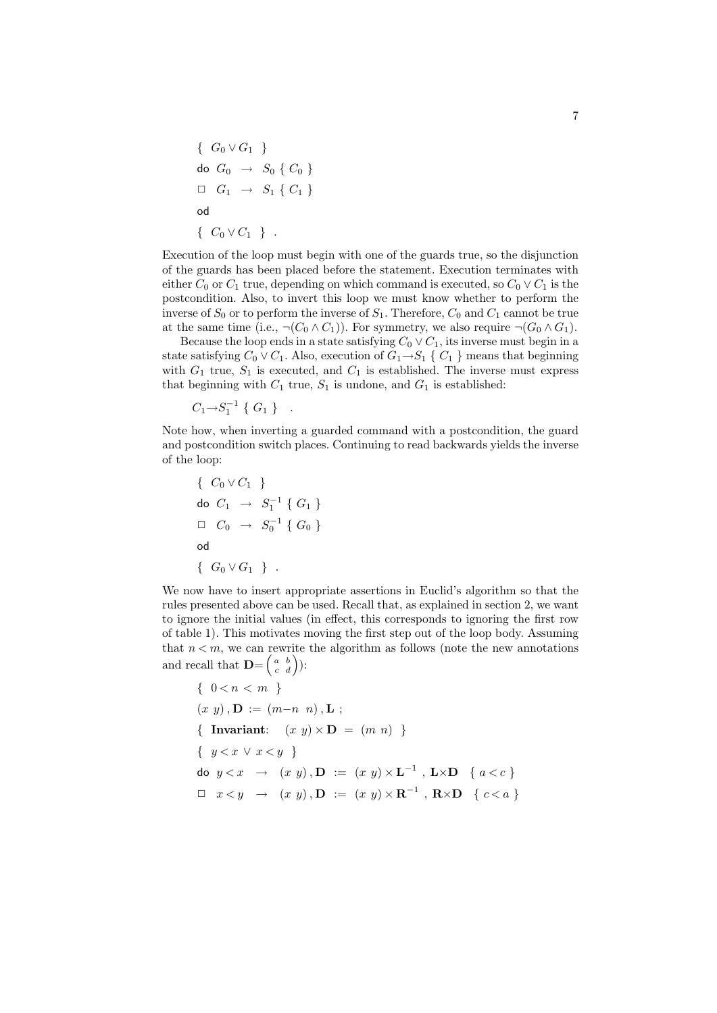$$
\left\{\n\begin{array}{l}\nG_0 \vee G_1\n\end{array}\n\right\}
$$
\n
$$
\begin{array}{l}\n\text{do } G_0 \rightarrow S_0 \setminus C_0\n\end{array}
$$
\n
$$
\begin{array}{l}\n\Box \quad G_1 \rightarrow S_1 \setminus C_1\n\end{array}
$$
\n
$$
\begin{array}{l}\n\text{od} \\
\big\{ \begin{array}{l}\nC_0 \vee C_1\n\end{array}\n\big\} \quad .
$$

Execution of the loop must begin with one of the guards true, so the disjunction of the guards has been placed before the statement. Execution terminates with either  $C_0$  or  $C_1$  true, depending on which command is executed, so  $C_0 \vee C_1$  is the postcondition. Also, to invert this loop we must know whether to perform the inverse of  $S_0$  or to perform the inverse of  $S_1$ . Therefore,  $C_0$  and  $C_1$  cannot be true at the same time (i.e.,  $\neg(C_0 \wedge C_1)$ ). For symmetry, we also require  $\neg(G_0 \wedge G_1)$ .

Because the loop ends in a state satisfying  $C_0 \vee C_1$ , its inverse must begin in a state satisfying  $C_0 \vee C_1$ . Also, execution of  $G_1 \rightarrow S_1 \{ C_1 \}$  means that beginning with  $G_1$  true,  $S_1$  is executed, and  $C_1$  is established. The inverse must express that beginning with  $C_1$  true,  $S_1$  is undone, and  $G_1$  is established:

 $C_1 \rightarrow S_1^{-1} \{ G_1 \}$ .

Note how, when inverting a guarded command with a postcondition, the guard and postcondition switch places. Continuing to read backwards yields the inverse of the loop:

$$
\left\{ \begin{array}{c} C_0 \vee C_1 \end{array} \right\}
$$
  
\n
$$
\begin{array}{ccc} \text{do} & C_1 \end{array} \rightarrow S_1^{-1} \left\{ G_1 \right\}
$$
  
\n
$$
\Box & C_0 \end{array} \rightarrow S_0^{-1} \left\{ G_0 \right\}
$$
  
\n
$$
\begin{array}{ccc} \text{od} & \\ \left\{ G_0 \vee G_1 \right\} \end{array}.
$$

We now have to insert appropriate assertions in Euclid's algorithm so that the rules presented above can be used. Recall that, as explained in section 2, we want to ignore the initial values (in effect, this corresponds to ignoring the first row of table 1). This motivates moving the first step out of the loop body. Assuming that  $n < m$ , we can rewrite the algorithm as follows (note the new annotations and recall that  $\mathbf{D} = \begin{pmatrix} a & b \\ c & d \end{pmatrix}$ :

$$
\{ 0 < n < m \}
$$
\n
$$
(x \ y), \mathbf{D} := (m-n \ n), \mathbf{L} ;
$$
\n
$$
\{ \text{ Invariant:} \quad (x \ y) \times \mathbf{D} = (m \ n) \}
$$
\n
$$
\{ \ y < x \ \vee \ x < y \ \}
$$
\n
$$
\text{do } y < x \ \rightarrow \ (x \ y), \mathbf{D} := (x \ y) \times \mathbf{L}^{-1}, \mathbf{L} \times \mathbf{D} \ \{ \ a < c \ \}
$$
\n
$$
\Box \ x < y \ \rightarrow \ (x \ y), \mathbf{D} := (x \ y) \times \mathbf{R}^{-1}, \mathbf{R} \times \mathbf{D} \ \{ \ c < a \ \}
$$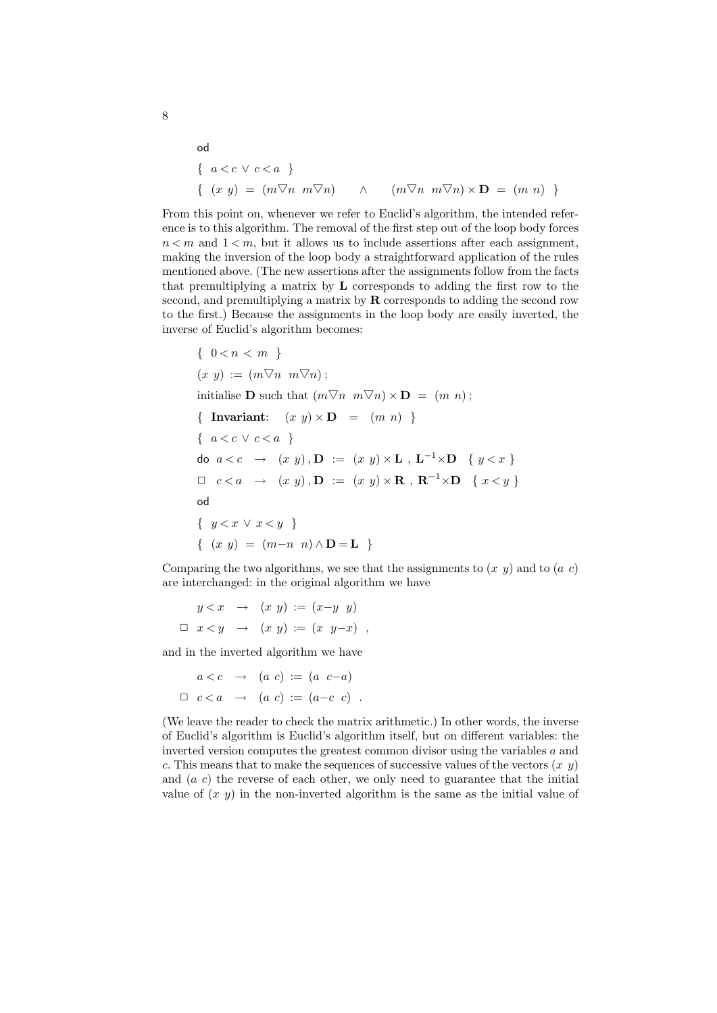od

\n
$$
\{ a < c \lor c < a \}
$$
\n
$$
\{ (x \ y) = (m \nabla n \ m \nabla n) \land (m \nabla n \ m \nabla n) \times D = (m \ n) \}
$$

From this point on, whenever we refer to Euclid's algorithm, the intended reference is to this algorithm. The removal of the first step out of the loop body forces  $n < m$  and  $1 < m$ , but it allows us to include assertions after each assignment, making the inversion of the loop body a straightforward application of the rules mentioned above. (The new assertions after the assignments follow from the facts that premultiplying a matrix by L corresponds to adding the first row to the second, and premultiplying a matrix by  $\bf{R}$  corresponds to adding the second row to the first.) Because the assignments in the loop body are easily inverted, the inverse of Euclid's algorithm becomes:

{ 
$$
0 < n < m
$$
 }  
\n $(x \ y) := (m \nabla n \ m \nabla n);$   
\ninitialise **D** such that  $(m \nabla n \ m \nabla n) \times \mathbf{D} = (m \ n);$   
\n{ **Invariant**:  $(x \ y) \times \mathbf{D} = (m \ n)$  }  
\n{  $a < c \lor c < a$  }  
\ndo  $a < c \rightarrow (x \ y), \mathbf{D} := (x \ y) \times \mathbf{L}, \mathbf{L}^{-1} \times \mathbf{D} \{ y < x \}$   
\n $\Box \ c < a \rightarrow (x \ y), \mathbf{D} := (x \ y) \times \mathbf{R}, \mathbf{R}^{-1} \times \mathbf{D} \{ x < y \}$   
\nod  
\n{  $y < x \lor x < y$  }  
\n{  $(x \ y) = (m - n \ n) \land \mathbf{D} = \mathbf{L}$  }

Comparing the two algorithms, we see that the assignments to  $(x, y)$  and to  $(a, c)$ are interchanged: in the original algorithm we have

$$
y < x \rightarrow (x \ y) := (x-y \ y)
$$
  

$$
\Box \ x < y \rightarrow (x \ y) := (x \ y-x) \ ,
$$

and in the inverted algorithm we have

$$
a < c \rightarrow (a c) := (a c-a)
$$
  

$$
\Box c < a \rightarrow (a c) := (a-c c).
$$

(We leave the reader to check the matrix arithmetic.) In other words, the inverse of Euclid's algorithm is Euclid's algorithm itself, but on different variables: the inverted version computes the greatest common divisor using the variables a and c. This means that to make the sequences of successive values of the vectors  $(x, y)$ and  $(a, c)$  the reverse of each other, we only need to guarantee that the initial value of  $(x, y)$  in the non-inverted algorithm is the same as the initial value of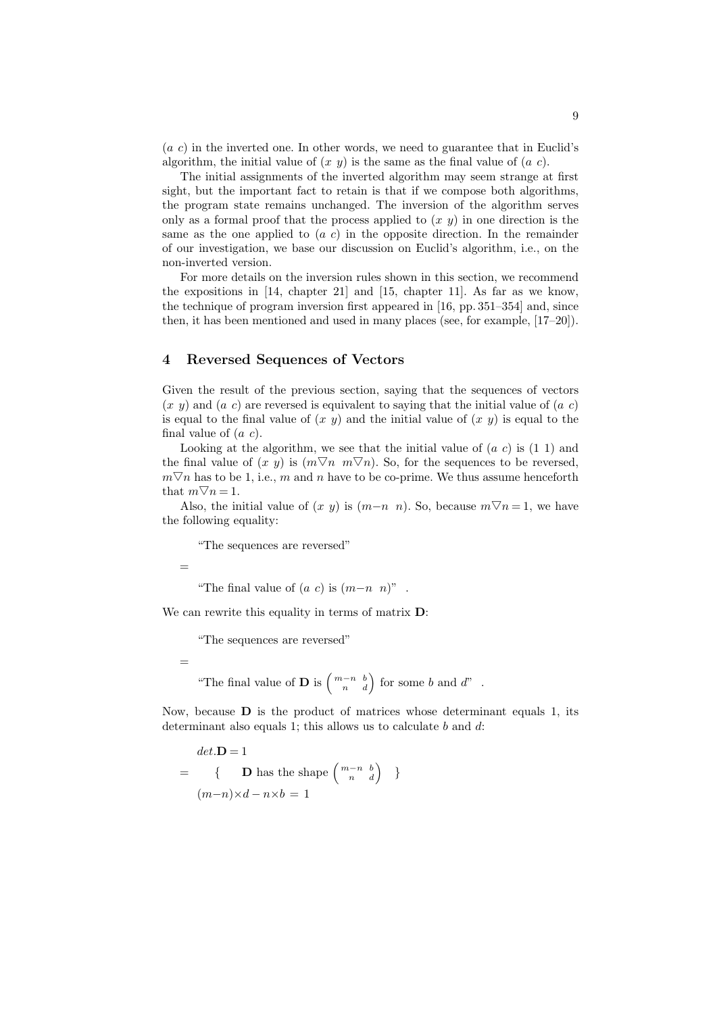$(a c)$  in the inverted one. In other words, we need to guarantee that in Euclid's algorithm, the initial value of  $(x, y)$  is the same as the final value of  $(a, c)$ .

The initial assignments of the inverted algorithm may seem strange at first sight, but the important fact to retain is that if we compose both algorithms, the program state remains unchanged. The inversion of the algorithm serves only as a formal proof that the process applied to  $(x, y)$  in one direction is the same as the one applied to  $(a\ c)$  in the opposite direction. In the remainder of our investigation, we base our discussion on Euclid's algorithm, i.e., on the non-inverted version.

For more details on the inversion rules shown in this section, we recommend the expositions in [14, chapter 21] and [15, chapter 11]. As far as we know, the technique of program inversion first appeared in [16, pp. 351–354] and, since then, it has been mentioned and used in many places (see, for example, [17–20]).

#### 4 Reversed Sequences of Vectors

Given the result of the previous section, saying that the sequences of vectors  $(x, y)$  and  $(a, c)$  are reversed is equivalent to saying that the initial value of  $(a, c)$ is equal to the final value of  $(x, y)$  and the initial value of  $(x, y)$  is equal to the final value of  $(a, c)$ .

Looking at the algorithm, we see that the initial value of  $(a\ c)$  is  $(1\ 1)$  and the final value of  $(x, y)$  is  $(m\nabla n, m\nabla n)$ . So, for the sequences to be reversed,  $m\nabla n$  has to be 1, i.e., m and n have to be co-prime. We thus assume henceforth that  $m\nabla n = 1$ .

Also, the initial value of  $(x, y)$  is  $(m-n, n)$ . So, because  $m \nabla n = 1$ , we have the following equality:

"The sequences are reversed"

=

"The final value of  $(a \ c)$  is  $(m-n \ n)$ ".

We can rewrite this equality in terms of matrix  $D$ :

"The sequences are reversed"

=

"The final value of **D** is  $\begin{pmatrix} m-n & b \\ n & d \end{pmatrix}$  for some b and d".

Now, because  **is the product of matrices whose determinant equals 1, its** determinant also equals 1; this allows us to calculate  $b$  and  $d$ :

$$
det.\mathbf{D} = 1
$$
  
= { **D** has the shape  $\begin{pmatrix} m-n & b \\ n & d \end{pmatrix}$  }  
 $(m-n)\times d - n\times b = 1$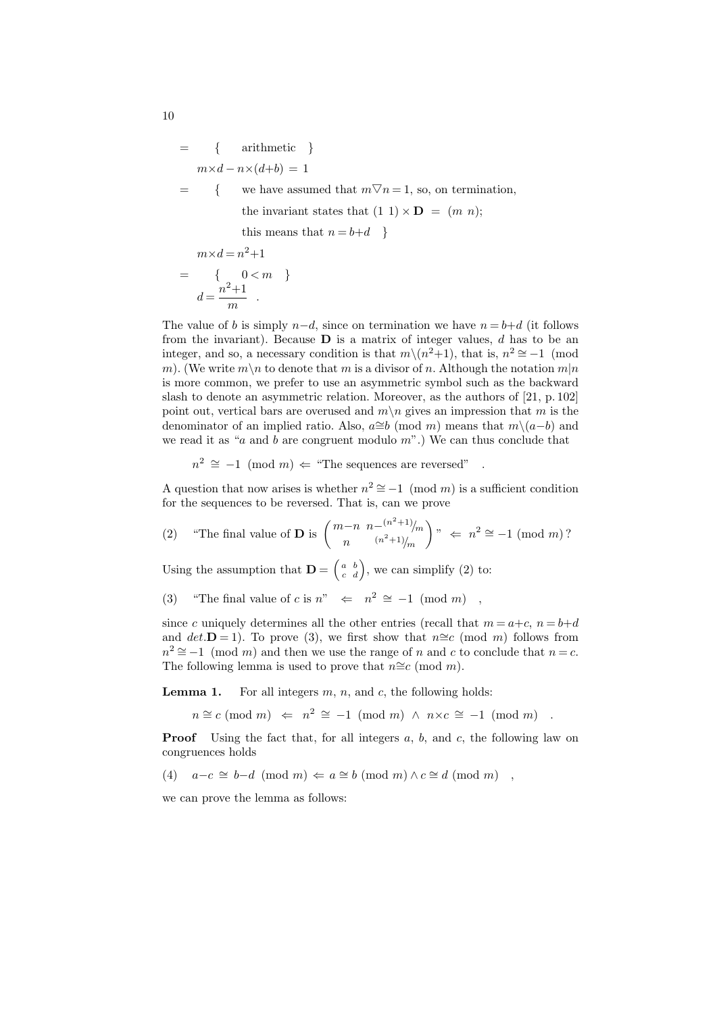$$
= \{ \begin{aligned}\n & \text{arithmetic} \\
 & m \times d - n \times (d+b) = 1 \\
 & = \{ \quad \text{we have assumed that } m \nabla n = 1, \text{ so, on termination,} \\
 & \text{the invariant states that } (1\ 1) \times \mathbf{D} = (m\ n); \\
 & \text{this means that } n = b + d \quad \} \\
 & m \times d = n^2 + 1\n \end{aligned}
$$

$$
= \begin{cases} 0 < m \\ d = \frac{n^2 + 1}{m} \end{cases}
$$

The value of b is simply  $n-d$ , since on termination we have  $n = b+d$  (it follows from the invariant). Because  $\bf{D}$  is a matrix of integer values, d has to be an integer, and so, a necessary condition is that  $m\setminus (n^2+1)$ , that is,  $n^2 \approx -1$  (mod m). (We write  $m \backslash n$  to denote that m is a divisor of n. Although the notation  $m|n$ is more common, we prefer to use an asymmetric symbol such as the backward slash to denote an asymmetric relation. Moreover, as the authors of [21, p. 102] point out, vertical bars are overused and  $m \n\mid n$  gives an impression that m is the denominator of an implied ratio. Also,  $a\cong b \pmod{m}$  means that  $m\setminus(a-b)$  and we read it as "a and b are congruent modulo  $m$ ".) We can thus conclude that

 $n^2 \cong -1 \pmod{m} \Leftarrow$  "The sequences are reversed".

A question that now arises is whether  $n^2 \approx -1 \pmod{m}$  is a sufficient condition for the sequences to be reversed. That is, can we prove

(2) "The final value of **D** is 
$$
\begin{pmatrix} m-n & n-(n^2+1)/m \\ n & (n^2+1)/m \end{pmatrix}
$$
"  $\Leftarrow$   $n^2 \cong -1 \pmod{m}$ ?

Using the assumption that  $\mathbf{D} = \begin{pmatrix} a & b \\ c & d \end{pmatrix}$ , we can simplify (2) to:

(3) "The final value of c is  $n^{\prime\prime} \Leftarrow n^2 \cong -1 \pmod{m}$ ,

since c uniquely determines all the other entries (recall that  $m = a+c$ ,  $n = b+d$ and det.D = 1). To prove (3), we first show that  $n \cong c \pmod{m}$  follows from  $n^2 \approx -1 \pmod{m}$  and then we use the range of n and c to conclude that  $n = c$ . The following lemma is used to prove that  $n \cong c \pmod{m}$ .

**Lemma 1.** For all integers  $m$ ,  $n$ , and  $c$ , the following holds:

 $n \cong c \pmod{m} \Leftrightarrow n^2 \cong -1 \pmod{m} \wedge n \times c \cong -1 \pmod{m}$ .

**Proof** Using the fact that, for all integers  $a, b$ , and  $c$ , the following law on congruences holds

(4)  $a-c \cong b-d \pmod{m} \Leftarrow a \cong b \pmod{m} \wedge c \cong d \pmod{m}$ ,

we can prove the lemma as follows: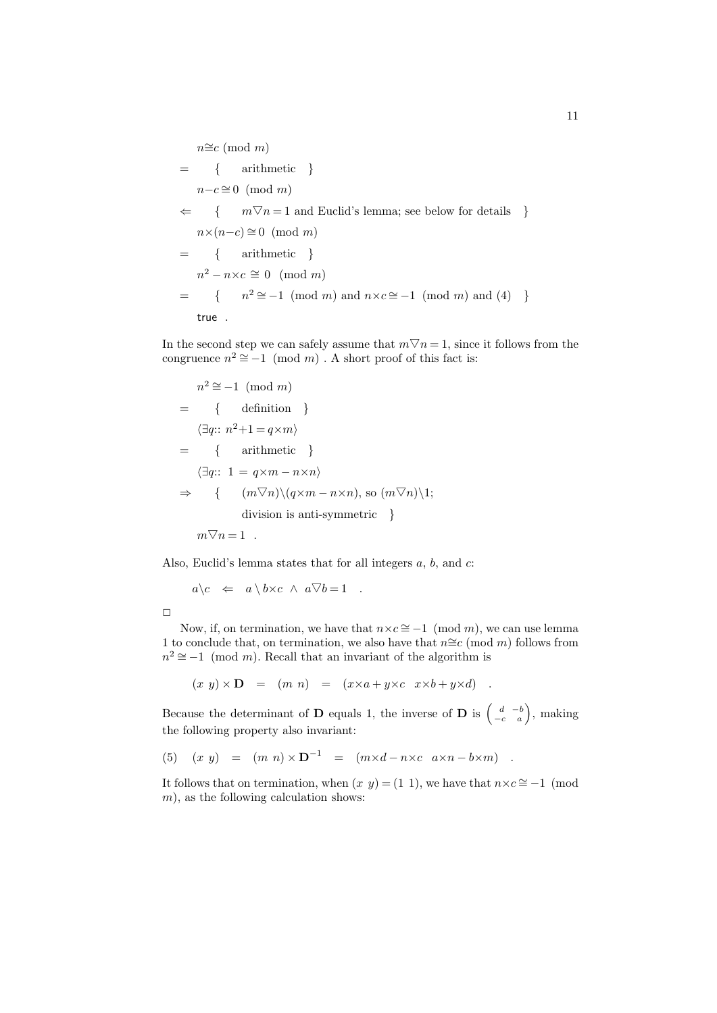$$
n \cong c \pmod{m}
$$
  
= { arithmetic }  
 $n-c \cong 0 \pmod{m}$   
 $\Leftarrow { m \nabla n = 1 \text{ and Euclid's lemma; see below for details }}n \times (n-c) \cong 0 \pmod{m}$   
= { arithmetic }  
 $n^2 - n \times c \cong 0 \pmod{m}$   
= { n<sup>2</sup> = -1 (mod *m*) and n \times c \cong -1 (mod *m*) and (4) }  
true .

In the second step we can safely assume that  $m\nabla n = 1$ , since it follows from the congruence  $n^2 \approx -1 \pmod{m}$ . A short proof of this fact is:

$$
n^2 \cong -1 \pmod{m}
$$
  
= { definition }  

$$
\langle \exists q:: n^2+1=q\times m \rangle
$$
  
= { arithmetic }  

$$
\langle \exists q:: 1=q\times m-n\times n \rangle
$$
  

$$
\Rightarrow { (m\nabla n)\backslash (q\times m-n\times n), so (m\nabla n)\backslash 1;}
$$
division is anti-symmetric }  

$$
m\nabla n=1.
$$

Also, Euclid's lemma states that for all integers  $a, b$ , and  $c$ :

$$
a \backslash c \iff a \backslash b \times c \land a \nabla b = 1 .
$$

 $\Box$ 

Now, if, on termination, we have that  $n \times c \approx -1 \pmod{m}$ , we can use lemma 1 to conclude that, on termination, we also have that  $n \cong c \pmod{m}$  follows from  $n^2 \approx -1 \pmod{m}$ . Recall that an invariant of the algorithm is

$$
(x\ y) \times D = (m\ n) = (x \times a + y \times c \ x \times b + y \times d) .
$$

Because the determinant of **D** equals 1, the inverse of **D** is  $\begin{pmatrix} d & -b \\ -c & a \end{pmatrix}$ , making the following property also invariant:

(5) 
$$
(x \ y) = (m \ n) \times D^{-1} = (m \times d - n \times c \ a \times n - b \times m)
$$
.

It follows that on termination, when  $(x, y) = (1, 1)$ , we have that  $n \times c \approx -1$  (mod  $m$ , as the following calculation shows: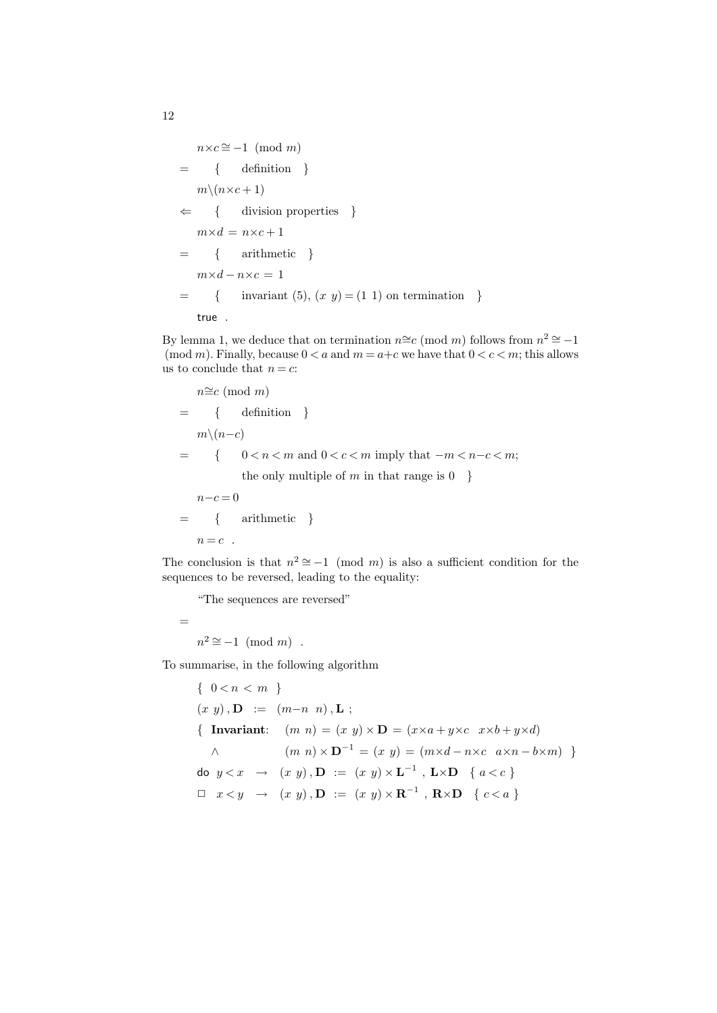$n \times c \cong -1 \pmod{m}$  $=$  { definition }  $m\setminus(n\times c+1)$  $\Leftarrow \{$  division properties  $\}$  $m \times d = n \times c + 1$  $=$  { arithmetic }  $m \times d - n \times c = 1$  $=$  { invariant (5),  $(x, y) = (1, 1)$  on termination } true .

By lemma 1, we deduce that on termination  $n \cong c \pmod{m}$  follows from  $n^2 \cong -1$ (mod m). Finally, because  $0 < a$  and  $m = a+c$  we have that  $0 < c < m$ ; this allows us to conclude that  $n = c$ :

$$
n \cong c \pmod{m}
$$
  
= { definition }  

$$
m \setminus (n-c)
$$
  
= {  $0 < n < m$  and  $0 < c < m$  imply that  $-m < n-c < m$ ;  
the only multiple of  $m$  in that range is 0 }  
 $n-c=0$   
= { arithmetic }

 $n = c$ .

The conclusion is that  $n^2 \approx -1 \pmod{m}$  is also a sufficient condition for the sequences to be reversed, leading to the equality:

"The sequences are reversed"

=  $n^2 \cong -1 \pmod{m}$ .

To summarise, in the following algorithm

 $\{ 0 < n < m \}$  $(x, y)$ ,  $\mathbf{D} := (m-n, n)$ ,  $\mathbf{L}$ ; { Invariant:  $(m n) = (x y) \times D = (x \times a + y \times c \ x \times b + y \times d)$  $\wedge$  (m n) ×  $\mathbf{D}^{-1} = (x \ y) = (m \times d - n \times c \ a \times n - b \times m)$ do  $y < x \rightarrow (x, y), \mathbf{D} := (x, y) \times \mathbf{L}^{-1}$ ,  $\mathbf{L} \times \mathbf{D} \setminus \{a < c\}$  $\Box$   $x < y \rightarrow (x, y), \mathbf{D} := (x, y) \times \mathbf{R}^{-1}, \mathbf{R} \times \mathbf{D} \{c < a\}$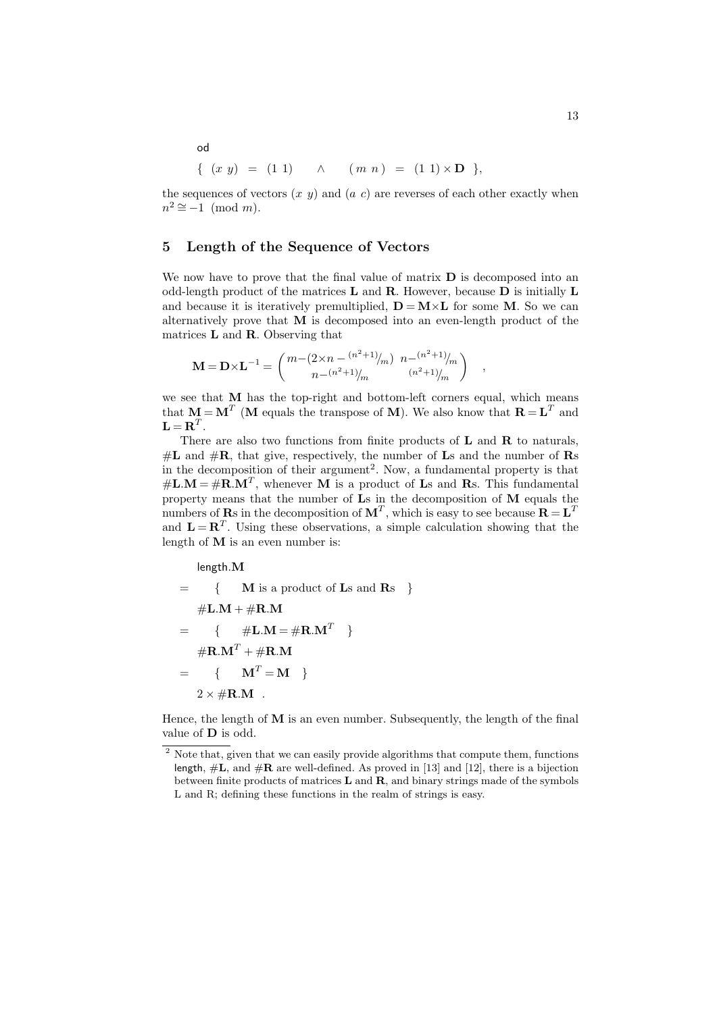$$
\{ (x \ y) = (1 \ 1) \quad \land \quad (m \ n) = (1 \ 1) \times D \},
$$

the sequences of vectors  $(x, y)$  and  $(a, c)$  are reverses of each other exactly when  $n^2 \cong -1 \pmod{m}$ .

# 5 Length of the Sequence of Vectors

We now have to prove that the final value of matrix  $D$  is decomposed into an odd-length product of the matrices L and R. However, because D is initially L and because it is iteratively premultiplied,  $\mathbf{D} = \mathbf{M} \times \mathbf{L}$  for some M. So we can alternatively prove that  $M$  is decomposed into an even-length product of the matrices L and R. Observing that

$$
\mathbf{M} = \mathbf{D} \times \mathbf{L}^{-1} = \begin{pmatrix} m - (2 \times n - \frac{(n^2 + 1)}{m}) & n - \frac{(n^2 + 1)}{m} \\ n - \frac{(n^2 + 1)}{m} & \frac{(n^2 + 1)}{m} \end{pmatrix}
$$

we see that M has the top-right and bottom-left corners equal, which means that  $M = M^T$  (M equals the transpose of M). We also know that  $R = L^T$  and  $\mathbf{L} = \mathbf{R}^T.$ 

,

There are also two functions from finite products of  $L$  and  $R$  to naturals,  $\#L$  and  $\#R$ , that give, respectively, the number of Ls and the number of Rs in the decomposition of their argument<sup>2</sup>. Now, a fundamental property is that  $\#\mathbf{L}.\mathbf{M} = \#\mathbf{R}.\mathbf{M}^T$ , whenever **M** is a product of **L**s and **R**s. This fundamental property means that the number of Ls in the decomposition of M equals the numbers of **R**s in the decomposition of  $M^T$ , which is easy to see because  $R = L^T$ and  $\mathbf{L} = \mathbf{R}^T$ . Using these observations, a simple calculation showing that the length of M is an even number is:

length.M

= { M is a product of Ls and Rs } #L.M + #R.M = { #L.M = #R.M<sup>T</sup> } #R.M<sup>T</sup> + #R.M = { M<sup>T</sup> = M } 2 × #R.M .

Hence, the length of  $M$  is an even number. Subsequently, the length of the final value of D is odd.

od

<sup>&</sup>lt;sup>2</sup> Note that, given that we can easily provide algorithms that compute them, functions length,  $\#L$ , and  $\#R$  are well-defined. As proved in [13] and [12], there is a bijection between finite products of matrices  $L$  and  $R$ , and binary strings made of the symbols L and R; defining these functions in the realm of strings is easy.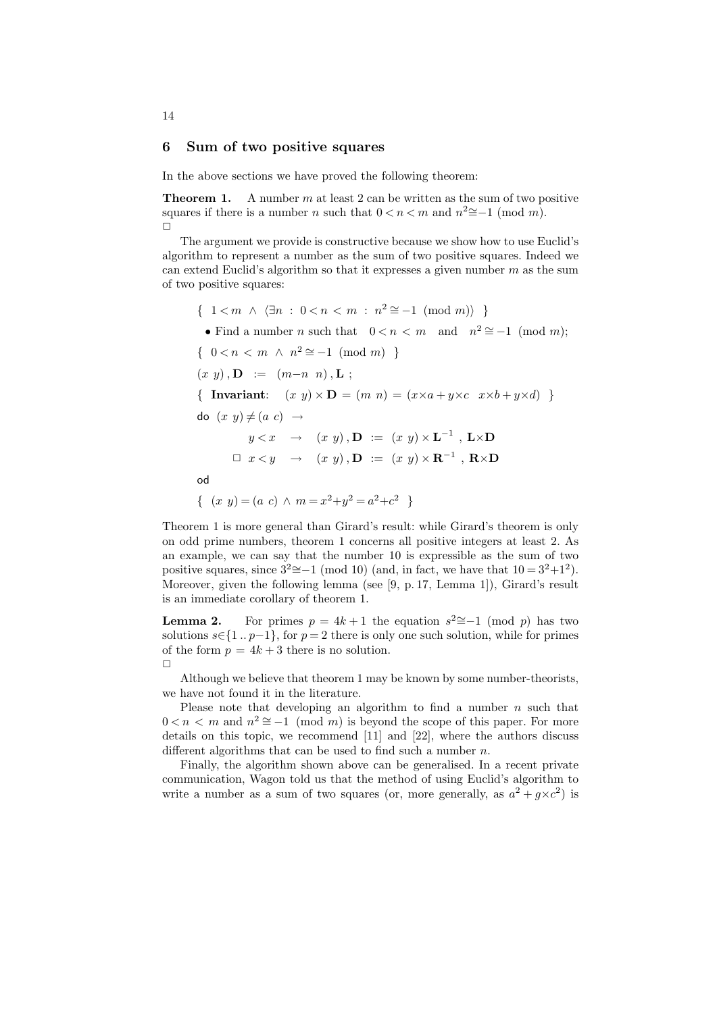#### 6 Sum of two positive squares

In the above sections we have proved the following theorem:

**Theorem 1.** A number m at least 2 can be written as the sum of two positive squares if there is a number n such that  $0 < n < m$  and  $n^2 \approx -1 \pmod{m}$ .  $\Box$ 

The argument we provide is constructive because we show how to use Euclid's algorithm to represent a number as the sum of two positive squares. Indeed we can extend Euclid's algorithm so that it expresses a given number  $m$  as the sum of two positive squares:

 $\{ 1 < m \wedge \langle \exists n : 0 < n < m : n^2 \cong -1 \pmod{m} \} \}$ • Find a number *n* such that  $0 < n < m$  and  $n^2 \approx -1 \pmod{m}$ ;  $\{ 0 < n < m \land n^2 \cong -1 \pmod{m} \}$  $(x, y)$ ,  $\mathbf{D} := (m-n, n)$ ,  $\mathbf{L}$ ; { Invariant:  $(x \, y) \times D = (m \, n) = (x \times a + y \times c \, x \times b + y \times d)$  } do  $(x, y) \neq (a, c) \rightarrow$  $y < x \rightarrow (x, y), \mathbf{D} := (x, y) \times \mathbf{L}^{-1}$ ,  $\mathbf{L} \times \mathbf{D}$  $\Box x < y \rightarrow (x, y), \mathbf{D} := (x, y) \times \mathbf{R}^{-1}, \mathbf{R} \times \mathbf{D}$ od  $\{ (x \, y) = (a \, c) \land m = x^2 + y^2 = a^2 + c^2 \}$ 

Theorem 1 is more general than Girard's result: while Girard's theorem is only on odd prime numbers, theorem 1 concerns all positive integers at least 2. As an example, we can say that the number 10 is expressible as the sum of two positive squares, since  $3^2 \cong -1 \pmod{10}$  (and, in fact, we have that  $10 = 3^2 + 1^2$ ). Moreover, given the following lemma (see [9, p. 17, Lemma 1]), Girard's result is an immediate corollary of theorem 1.

**Lemma 2.** For primes  $p = 4k + 1$  the equation  $s^2 \approx -1 \pmod{p}$  has two solutions  $s \in \{1..p-1\}$ , for  $p = 2$  there is only one such solution, while for primes of the form  $p = 4k + 3$  there is no solution.  $\Box$ 

Although we believe that theorem 1 may be known by some number-theorists, we have not found it in the literature.

Please note that developing an algorithm to find a number  $n$  such that  $0 < n < m$  and  $n^2 \approx -1 \pmod{m}$  is beyond the scope of this paper. For more details on this topic, we recommend [11] and [22], where the authors discuss different algorithms that can be used to find such a number  $n$ .

Finally, the algorithm shown above can be generalised. In a recent private communication, Wagon told us that the method of using Euclid's algorithm to write a number as a sum of two squares (or, more generally, as  $a^2 + g \times c^2$ ) is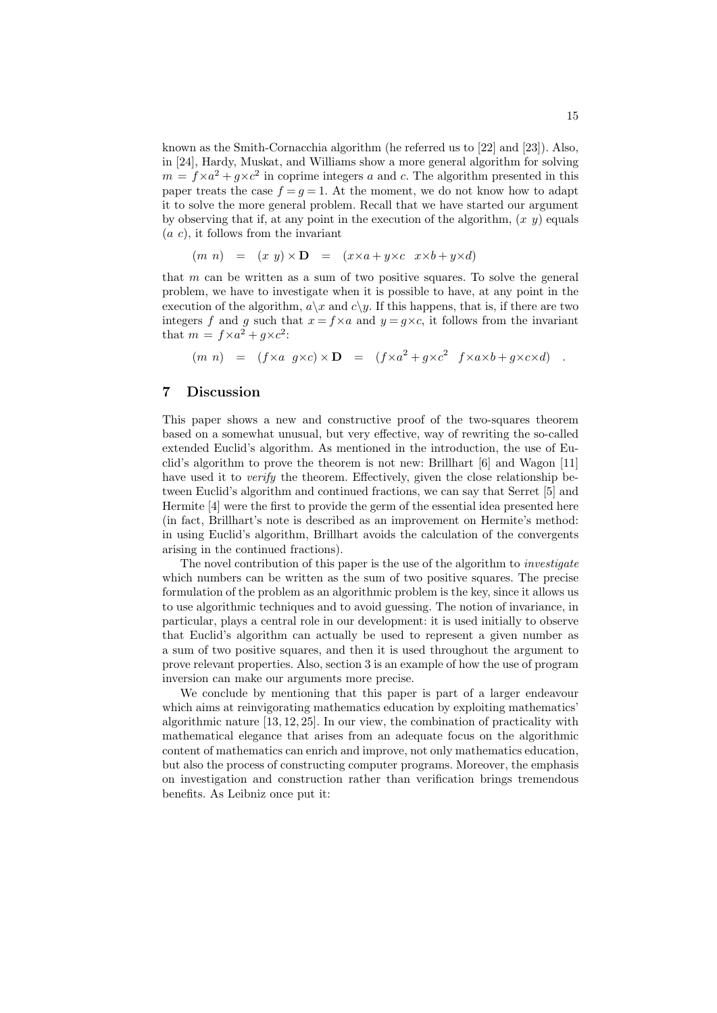known as the Smith-Cornacchia algorithm (he referred us to [22] and [23]). Also, in [24], Hardy, Muskat, and Williams show a more general algorithm for solving  $m = f \times a^2 + g \times c^2$  in coprime integers a and c. The algorithm presented in this paper treats the case  $f = g = 1$ . At the moment, we do not know how to adapt it to solve the more general problem. Recall that we have started our argument by observing that if, at any point in the execution of the algorithm,  $(x, y)$  equals  $(a, c)$ , it follows from the invariant

$$
(m n) = (x y) \times D = (x \times a + y \times c \ x \times b + y \times d)
$$

that  $m$  can be written as a sum of two positive squares. To solve the general problem, we have to investigate when it is possible to have, at any point in the execution of the algorithm,  $a\$  x and  $c\$  y. If this happens, that is, if there are two integers f and g such that  $x = f \times a$  and  $y = g \times c$ , it follows from the invariant that  $m = f \times a^2 + g \times c^2$ :

$$
(m n) = (f \times a g \times c) \times D = (f \times a^2 + g \times c^2 f \times a \times b + g \times c \times d)
$$

# 7 Discussion

This paper shows a new and constructive proof of the two-squares theorem based on a somewhat unusual, but very effective, way of rewriting the so-called extended Euclid's algorithm. As mentioned in the introduction, the use of Euclid's algorithm to prove the theorem is not new: Brillhart [6] and Wagon [11] have used it to *verify* the theorem. Effectively, given the close relationship between Euclid's algorithm and continued fractions, we can say that Serret [5] and Hermite [4] were the first to provide the germ of the essential idea presented here (in fact, Brillhart's note is described as an improvement on Hermite's method: in using Euclid's algorithm, Brillhart avoids the calculation of the convergents arising in the continued fractions).

The novel contribution of this paper is the use of the algorithm to *investigate* which numbers can be written as the sum of two positive squares. The precise formulation of the problem as an algorithmic problem is the key, since it allows us to use algorithmic techniques and to avoid guessing. The notion of invariance, in particular, plays a central role in our development: it is used initially to observe that Euclid's algorithm can actually be used to represent a given number as a sum of two positive squares, and then it is used throughout the argument to prove relevant properties. Also, section 3 is an example of how the use of program inversion can make our arguments more precise.

We conclude by mentioning that this paper is part of a larger endeavour which aims at reinvigorating mathematics education by exploiting mathematics' algorithmic nature [13, 12, 25]. In our view, the combination of practicality with mathematical elegance that arises from an adequate focus on the algorithmic content of mathematics can enrich and improve, not only mathematics education, but also the process of constructing computer programs. Moreover, the emphasis on investigation and construction rather than verification brings tremendous benefits. As Leibniz once put it: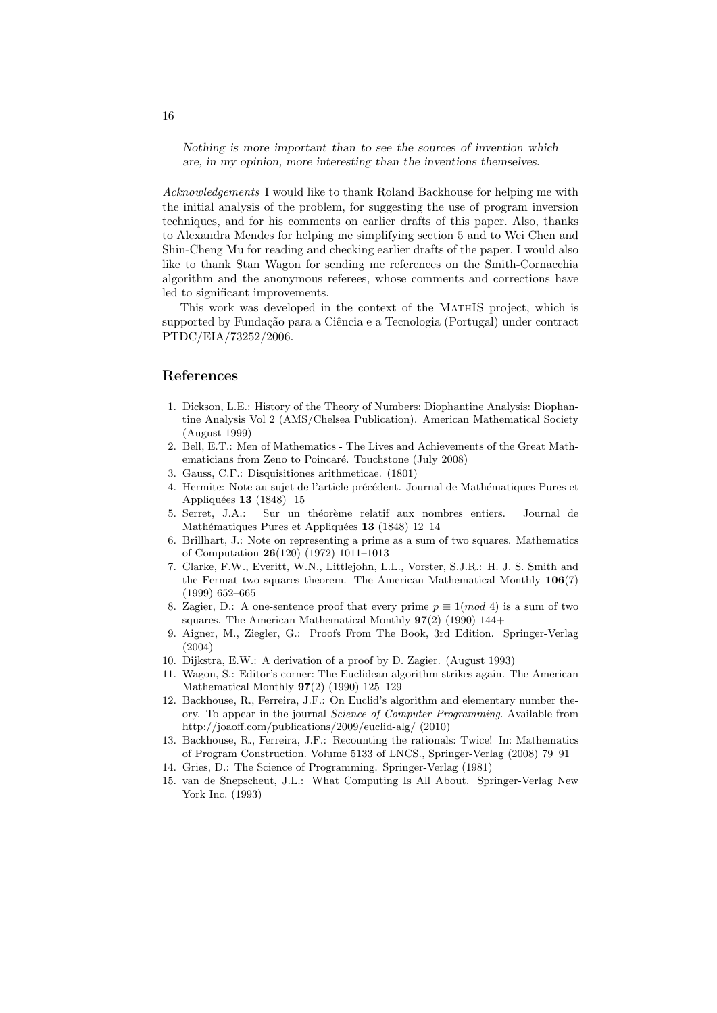Nothing is more important than to see the sources of invention which are, in my opinion, more interesting than the inventions themselves.

Acknowledgements I would like to thank Roland Backhouse for helping me with the initial analysis of the problem, for suggesting the use of program inversion techniques, and for his comments on earlier drafts of this paper. Also, thanks to Alexandra Mendes for helping me simplifying section 5 and to Wei Chen and Shin-Cheng Mu for reading and checking earlier drafts of the paper. I would also like to thank Stan Wagon for sending me references on the Smith-Cornacchia algorithm and the anonymous referees, whose comments and corrections have led to significant improvements.

This work was developed in the context of the MATHIS project, which is supported by Fundação para a Ciência e a Tecnologia (Portugal) under contract PTDC/EIA/73252/2006.

# References

- 1. Dickson, L.E.: History of the Theory of Numbers: Diophantine Analysis: Diophantine Analysis Vol 2 (AMS/Chelsea Publication). American Mathematical Society (August 1999)
- 2. Bell, E.T.: Men of Mathematics The Lives and Achievements of the Great Mathematicians from Zeno to Poincaré. Touchstone (July 2008)
- 3. Gauss, C.F.: Disquisitiones arithmeticae. (1801)
- 4. Hermite: Note au sujet de l'article précédent. Journal de Mathématiques Pures et Appliquées  $13$  (1848) 15
- 5. Serret, J.A.: Sur un théorème relatif aux nombres entiers. Journal de Mathématiques Pures et Appliquées  $13$  (1848) 12–14
- 6. Brillhart, J.: Note on representing a prime as a sum of two squares. Mathematics of Computation 26(120) (1972) 1011–1013
- 7. Clarke, F.W., Everitt, W.N., Littlejohn, L.L., Vorster, S.J.R.: H. J. S. Smith and the Fermat two squares theorem. The American Mathematical Monthly 106(7) (1999) 652–665
- 8. Zagier, D.: A one-sentence proof that every prime  $p \equiv 1 (mod 4)$  is a sum of two squares. The American Mathematical Monthly  $97(2)$  (1990) 144+
- 9. Aigner, M., Ziegler, G.: Proofs From The Book, 3rd Edition. Springer-Verlag (2004)
- 10. Dijkstra, E.W.: A derivation of a proof by D. Zagier. (August 1993)
- 11. Wagon, S.: Editor's corner: The Euclidean algorithm strikes again. The American Mathematical Monthly 97(2) (1990) 125–129
- 12. Backhouse, R., Ferreira, J.F.: On Euclid's algorithm and elementary number theory. To appear in the journal Science of Computer Programming. Available from http://joaoff.com/publications/2009/euclid-alg/ (2010)
- 13. Backhouse, R., Ferreira, J.F.: Recounting the rationals: Twice! In: Mathematics of Program Construction. Volume 5133 of LNCS., Springer-Verlag (2008) 79–91
- 14. Gries, D.: The Science of Programming. Springer-Verlag (1981)
- 15. van de Snepscheut, J.L.: What Computing Is All About. Springer-Verlag New York Inc. (1993)